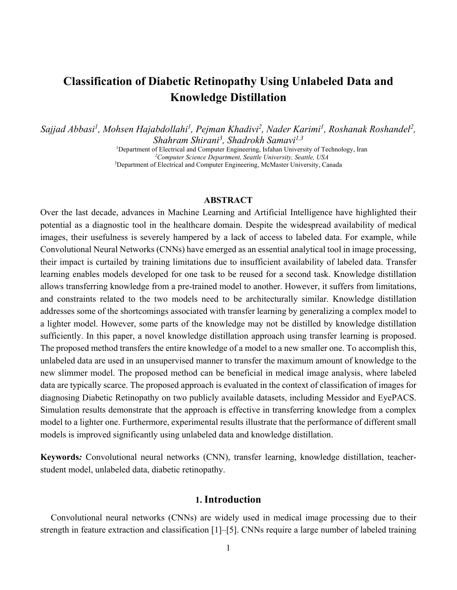# **Classification of Diabetic Retinopathy Using Unlabeled Data and Knowledge Distillation**

Sajjad Abbasi<sup>1</sup>, Mohsen Hajabdollahi<sup>1</sup>, Pejman Khadivi<sup>2</sup>, Nader Karimi<sup>1</sup>, Roshanak Roshandel<sup>2</sup>, *Shahram Shirani3 , Shadrokh Samavi1,3*

<sup>1</sup>Department of Electrical and Computer Engineering, Isfahan University of Technology, Iran *2Computer Science Department, Seattle University, Seattle, USA* 3Department of Electrical and Computer Engineering, McMaster University, Canada

### **ABSTRACT**

Over the last decade, advances in Machine Learning and Artificial Intelligence have highlighted their potential as a diagnostic tool in the healthcare domain. Despite the widespread availability of medical images, their usefulness is severely hampered by a lack of access to labeled data. For example, while Convolutional Neural Networks (CNNs) have emerged as an essential analytical tool in image processing, their impact is curtailed by training limitations due to insufficient availability of labeled data. Transfer learning enables models developed for one task to be reused for a second task. Knowledge distillation allows transferring knowledge from a pre-trained model to another. However, it suffers from limitations, and constraints related to the two models need to be architecturally similar. Knowledge distillation addresses some of the shortcomings associated with transfer learning by generalizing a complex model to a lighter model. However, some parts of the knowledge may not be distilled by knowledge distillation sufficiently. In this paper, a novel knowledge distillation approach using transfer learning is proposed. The proposed method transfers the entire knowledge of a model to a new smaller one. To accomplish this, unlabeled data are used in an unsupervised manner to transfer the maximum amount of knowledge to the new slimmer model. The proposed method can be beneficial in medical image analysis, where labeled data are typically scarce. The proposed approach is evaluated in the context of classification of images for diagnosing Diabetic Retinopathy on two publicly available datasets, including Messidor and EyePACS. Simulation results demonstrate that the approach is effective in transferring knowledge from a complex model to a lighter one. Furthermore, experimental results illustrate that the performance of different small models is improved significantly using unlabeled data and knowledge distillation.

**Keywords***:* Convolutional neural networks (CNN), transfer learning, knowledge distillation, teacherstudent model, unlabeled data, diabetic retinopathy.

### **1. Introduction**

Convolutional neural networks (CNNs) are widely used in medical image processing due to their strength in feature extraction and classification [1]–[5]. CNNs require a large number of labeled training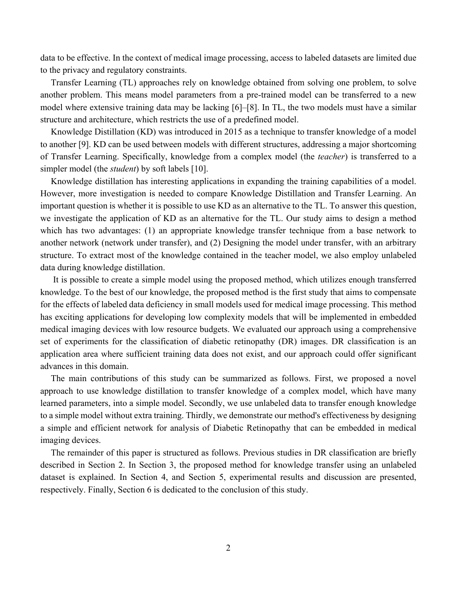data to be effective. In the context of medical image processing, access to labeled datasets are limited due to the privacy and regulatory constraints.

Transfer Learning (TL) approaches rely on knowledge obtained from solving one problem, to solve another problem. This means model parameters from a pre-trained model can be transferred to a new model where extensive training data may be lacking [6]–[8]. In TL, the two models must have a similar structure and architecture, which restricts the use of a predefined model.

Knowledge Distillation (KD) was introduced in 2015 as a technique to transfer knowledge of a model to another [9]. KD can be used between models with different structures, addressing a major shortcoming of Transfer Learning. Specifically, knowledge from a complex model (the *teacher*) is transferred to a simpler model (the *student*) by soft labels [10].

Knowledge distillation has interesting applications in expanding the training capabilities of a model. However, more investigation is needed to compare Knowledge Distillation and Transfer Learning. An important question is whether it is possible to use KD as an alternative to the TL. To answer this question, we investigate the application of KD as an alternative for the TL. Our study aims to design a method which has two advantages: (1) an appropriate knowledge transfer technique from a base network to another network (network under transfer), and (2) Designing the model under transfer, with an arbitrary structure. To extract most of the knowledge contained in the teacher model, we also employ unlabeled data during knowledge distillation.

 It is possible to create a simple model using the proposed method, which utilizes enough transferred knowledge. To the best of our knowledge, the proposed method is the first study that aims to compensate for the effects of labeled data deficiency in small models used for medical image processing. This method has exciting applications for developing low complexity models that will be implemented in embedded medical imaging devices with low resource budgets. We evaluated our approach using a comprehensive set of experiments for the classification of diabetic retinopathy (DR) images. DR classification is an application area where sufficient training data does not exist, and our approach could offer significant advances in this domain.

The main contributions of this study can be summarized as follows. First, we proposed a novel approach to use knowledge distillation to transfer knowledge of a complex model, which have many learned parameters, into a simple model. Secondly, we use unlabeled data to transfer enough knowledge to a simple model without extra training. Thirdly, we demonstrate our method's effectiveness by designing a simple and efficient network for analysis of Diabetic Retinopathy that can be embedded in medical imaging devices.

The remainder of this paper is structured as follows. Previous studies in DR classification are briefly described in Section 2. In Section 3, the proposed method for knowledge transfer using an unlabeled dataset is explained. In Section 4, and Section 5, experimental results and discussion are presented, respectively. Finally, Section 6 is dedicated to the conclusion of this study.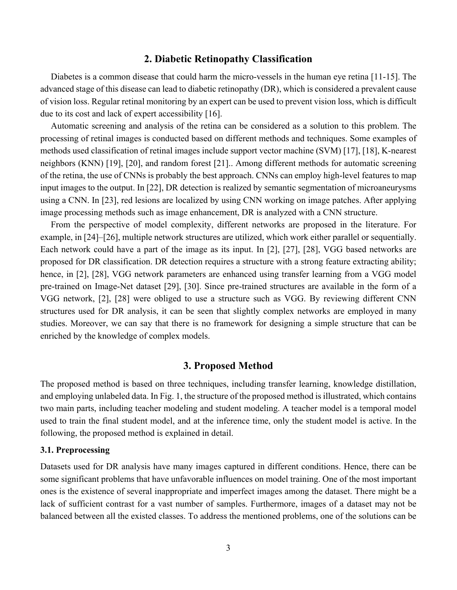# **2. Diabetic Retinopathy Classification**

Diabetes is a common disease that could harm the micro-vessels in the human eye retina [11-15]. The advanced stage of this disease can lead to diabetic retinopathy (DR), which is considered a prevalent cause of vision loss. Regular retinal monitoring by an expert can be used to prevent vision loss, which is difficult due to its cost and lack of expert accessibility [16].

Automatic screening and analysis of the retina can be considered as a solution to this problem. The processing of retinal images is conducted based on different methods and techniques. Some examples of methods used classification of retinal images include support vector machine (SVM) [17], [18], K-nearest neighbors (KNN) [19], [20], and random forest [21].. Among different methods for automatic screening of the retina, the use of CNNs is probably the best approach. CNNs can employ high-level features to map input images to the output. In [22], DR detection is realized by semantic segmentation of microaneurysms using a CNN. In [23], red lesions are localized by using CNN working on image patches. After applying image processing methods such as image enhancement, DR is analyzed with a CNN structure.

From the perspective of model complexity, different networks are proposed in the literature. For example, in [24]–[26], multiple network structures are utilized, which work either parallel or sequentially. Each network could have a part of the image as its input. In [2], [27], [28], VGG based networks are proposed for DR classification. DR detection requires a structure with a strong feature extracting ability; hence, in [2], [28], VGG network parameters are enhanced using transfer learning from a VGG model pre-trained on Image-Net dataset [29], [30]. Since pre-trained structures are available in the form of a VGG network, [2], [28] were obliged to use a structure such as VGG. By reviewing different CNN structures used for DR analysis, it can be seen that slightly complex networks are employed in many studies. Moreover, we can say that there is no framework for designing a simple structure that can be enriched by the knowledge of complex models.

### **3. Proposed Method**

The proposed method is based on three techniques, including transfer learning, knowledge distillation, and employing unlabeled data. In Fig. 1, the structure of the proposed method is illustrated, which contains two main parts, including teacher modeling and student modeling. A teacher model is a temporal model used to train the final student model, and at the inference time, only the student model is active. In the following, the proposed method is explained in detail.

### **3.1. Preprocessing**

Datasets used for DR analysis have many images captured in different conditions. Hence, there can be some significant problems that have unfavorable influences on model training. One of the most important ones is the existence of several inappropriate and imperfect images among the dataset. There might be a lack of sufficient contrast for a vast number of samples. Furthermore, images of a dataset may not be balanced between all the existed classes. To address the mentioned problems, one of the solutions can be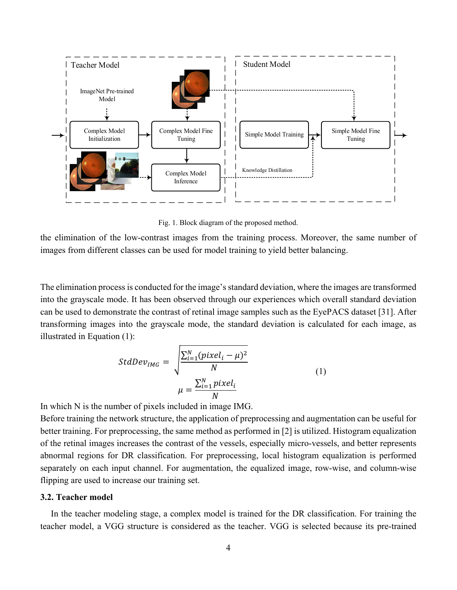

Fig. 1. Block diagram of the proposed method.

the elimination of the low-contrast images from the training process. Moreover, the same number of images from different classes can be used for model training to yield better balancing.

The elimination process is conducted for the image's standard deviation, where the images are transformed into the grayscale mode. It has been observed through our experiences which overall standard deviation can be used to demonstrate the contrast of retinal image samples such as the EyePACS dataset [31]. After transforming images into the grayscale mode, the standard deviation is calculated for each image, as illustrated in Equation (1):

$$
StdDev_{IMG} = \sqrt{\frac{\sum_{i=1}^{N} (pixel_i - \mu)^2}{N}}
$$

$$
\mu = \frac{\sum_{i=1}^{N} pixel_i}{N}
$$
(1)

In which N is the number of pixels included in image IMG.

Before training the network structure, the application of preprocessing and augmentation can be useful for better training. For preprocessing, the same method as performed in [2] is utilized. Histogram equalization of the retinal images increases the contrast of the vessels, especially micro-vessels, and better represents abnormal regions for DR classification. For preprocessing, local histogram equalization is performed separately on each input channel. For augmentation, the equalized image, row-wise, and column-wise flipping are used to increase our training set.

### **3.2. Teacher model**

In the teacher modeling stage, a complex model is trained for the DR classification. For training the teacher model, a VGG structure is considered as the teacher. VGG is selected because its pre-trained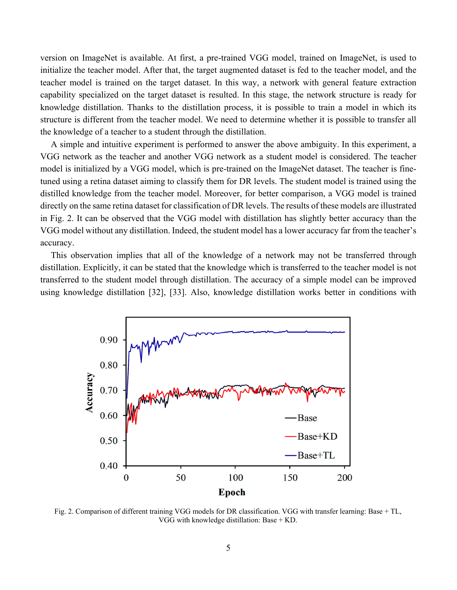version on ImageNet is available. At first, a pre-trained VGG model, trained on ImageNet, is used to initialize the teacher model. After that, the target augmented dataset is fed to the teacher model, and the teacher model is trained on the target dataset. In this way, a network with general feature extraction capability specialized on the target dataset is resulted. In this stage, the network structure is ready for knowledge distillation. Thanks to the distillation process, it is possible to train a model in which its structure is different from the teacher model. We need to determine whether it is possible to transfer all the knowledge of a teacher to a student through the distillation.

A simple and intuitive experiment is performed to answer the above ambiguity. In this experiment, a VGG network as the teacher and another VGG network as a student model is considered. The teacher model is initialized by a VGG model, which is pre-trained on the ImageNet dataset. The teacher is finetuned using a retina dataset aiming to classify them for DR levels. The student model is trained using the distilled knowledge from the teacher model. Moreover, for better comparison, a VGG model is trained directly on the same retina dataset for classification of DR levels. The results of these models are illustrated in Fig. 2. It can be observed that the VGG model with distillation has slightly better accuracy than the VGG model without any distillation. Indeed, the student model has a lower accuracy far from the teacher's accuracy.

This observation implies that all of the knowledge of a network may not be transferred through distillation. Explicitly, it can be stated that the knowledge which is transferred to the teacher model is not transferred to the student model through distillation. The accuracy of a simple model can be improved using knowledge distillation [32], [33]. Also, knowledge distillation works better in conditions with



Fig. 2. Comparison of different training VGG models for DR classification. VGG with transfer learning: Base + TL, VGG with knowledge distillation: Base + KD.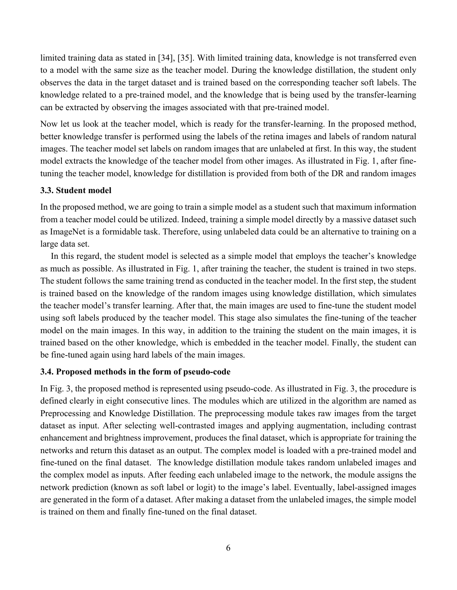limited training data as stated in [34], [35]. With limited training data, knowledge is not transferred even to a model with the same size as the teacher model. During the knowledge distillation, the student only observes the data in the target dataset and is trained based on the corresponding teacher soft labels. The knowledge related to a pre-trained model, and the knowledge that is being used by the transfer-learning can be extracted by observing the images associated with that pre-trained model.

Now let us look at the teacher model, which is ready for the transfer-learning. In the proposed method, better knowledge transfer is performed using the labels of the retina images and labels of random natural images. The teacher model set labels on random images that are unlabeled at first. In this way, the student model extracts the knowledge of the teacher model from other images. As illustrated in Fig. 1, after finetuning the teacher model, knowledge for distillation is provided from both of the DR and random images

# **3.3. Student model**

In the proposed method, we are going to train a simple model as a student such that maximum information from a teacher model could be utilized. Indeed, training a simple model directly by a massive dataset such as ImageNet is a formidable task. Therefore, using unlabeled data could be an alternative to training on a large data set.

In this regard, the student model is selected as a simple model that employs the teacher's knowledge as much as possible. As illustrated in Fig. 1, after training the teacher, the student is trained in two steps. The student follows the same training trend as conducted in the teacher model. In the first step, the student is trained based on the knowledge of the random images using knowledge distillation, which simulates the teacher model's transfer learning. After that, the main images are used to fine-tune the student model using soft labels produced by the teacher model. This stage also simulates the fine-tuning of the teacher model on the main images. In this way, in addition to the training the student on the main images, it is trained based on the other knowledge, which is embedded in the teacher model. Finally, the student can be fine-tuned again using hard labels of the main images.

# **3.4. Proposed methods in the form of pseudo-code**

In Fig. 3, the proposed method is represented using pseudo-code. As illustrated in Fig. 3, the procedure is defined clearly in eight consecutive lines. The modules which are utilized in the algorithm are named as Preprocessing and Knowledge Distillation. The preprocessing module takes raw images from the target dataset as input. After selecting well-contrasted images and applying augmentation, including contrast enhancement and brightness improvement, produces the final dataset, which is appropriate for training the networks and return this dataset as an output. The complex model is loaded with a pre-trained model and fine-tuned on the final dataset. The knowledge distillation module takes random unlabeled images and the complex model as inputs. After feeding each unlabeled image to the network, the module assigns the network prediction (known as soft label or logit) to the image's label. Eventually, label-assigned images are generated in the form of a dataset. After making a dataset from the unlabeled images, the simple model is trained on them and finally fine-tuned on the final dataset.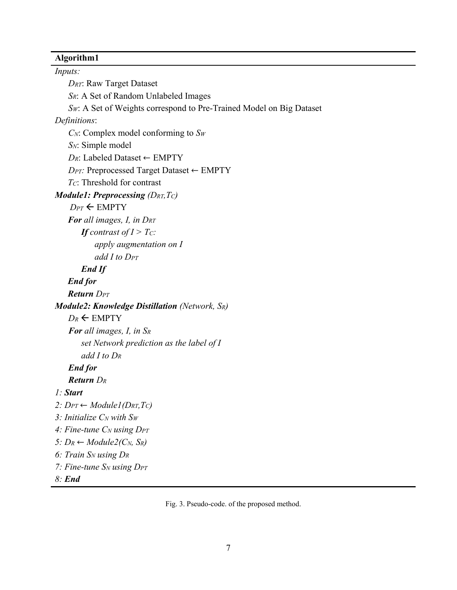# **Algorithm1**

*Inputs: DRT*: Raw Target Dataset *SR*: A Set of Random Unlabeled Images *Sw*: A Set of Weights correspond to Pre-Trained Model on Big Dataset *Definitions*: *CN*: Complex model conforming to *SW SN*: Simple model *DR*: Labeled Dataset ← EMPTY *DPT:* Preprocessed Target Dataset ← EMPTY *TC*: Threshold for contrast *Module1: Preprocessing (DRT,TC) D<sub>PT</sub>* ← EMPTY *For all images, I, in DRT If contrast of*  $I > T_C$ *: apply augmentation on I add I to DPT End If End for Return DPT Module2: Knowledge Distillation (Network, SR)*  $D_R \leftarrow$  EMPTY *For all images, I, in SR set Network prediction as the label of I add I to DR End for Return DR 1: Start*  2:  $D_{PT} \leftarrow \text{Module1}(D_{RT}, T_C)$ *3: Initialize CN with SW* 4: Fine-tune C<sub>N</sub> using D<sub>PT</sub> *5:*  $D_R \leftarrow Module2(C_N, S_R)$ *6: Train SN using DR 7: Fine-tune SN using DPT 8: End* 

Fig. 3. Pseudo-code. of the proposed method.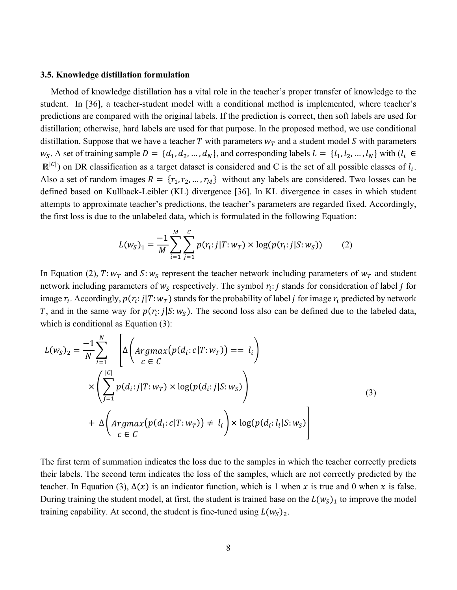#### **3.5. Knowledge distillation formulation**

Method of knowledge distillation has a vital role in the teacher's proper transfer of knowledge to the student. In [36], a teacher-student model with a conditional method is implemented, where teacher's predictions are compared with the original labels. If the prediction is correct, then soft labels are used for distillation; otherwise, hard labels are used for that purpose. In the proposed method, we use conditional distillation. Suppose that we have a teacher T with parameters  $w_T$  and a student model S with parameters  $w_s$ . A set of training sample  $D = \{d_1, d_2, ..., d_N\}$ , and corresponding labels  $L = \{l_1, l_2, ..., l_N\}$  with  $(l_i \in$  $\mathbb{R}^{|C|}$ ) on DR classification as a target dataset is considered and C is the set of all possible classes of  $l_i$ . Also a set of random images  $R = \{r_1, r_2, ..., r_M\}$  without any labels are considered. Two losses can be defined based on Kullback-Leibler (KL) divergence [36]. In KL divergence in cases in which student attempts to approximate teacher's predictions, the teacher's parameters are regarded fixed. Accordingly, the first loss is due to the unlabeled data, which is formulated in the following Equation:

$$
L(w_S)_1 = \frac{-1}{M} \sum_{i=1}^{M} \sum_{j=1}^{C} p(r_i : j | T : w_T) \times \log(p(r_i : j | S : w_S))
$$
 (2)

In Equation (2),  $T: w_T$  and  $S: w_S$  represent the teacher network including parameters of  $w_T$  and student network including parameters of  $w_s$  respectively. The symbol  $r_i$ : *j* stands for consideration of label *j* for image  $r_i$ . Accordingly,  $p(r_i:j|T:w_T)$  stands for the probability of label *j* for image  $r_i$  predicted by network T, and in the same way for  $p(r_i: j|S:w_{\rm s})$ . The second loss also can be defined due to the labeled data, which is conditional as Equation (3):

$$
L(w_S)_2 = \frac{-1}{N} \sum_{i=1}^N \left[ \Delta \left( Argmax(p(d_i: c | T: w_T)) = l_i \right) \times \left( \sum_{j=1}^{|C|} p(d_i: j | T: w_T) \times \log(p(d_i: j | S: w_S) \right) + \Delta \left( Argmax(p(d_i: c | T: w_T)) \neq l_i \right) \times \log(p(d_i: l_i | S: w_S) \right)
$$
\n(3)

The first term of summation indicates the loss due to the samples in which the teacher correctly predicts their labels. The second term indicates the loss of the samples, which are not correctly predicted by the teacher. In Equation (3),  $\Delta(x)$  is an indicator function, which is 1 when x is true and 0 when x is false. During training the student model, at first, the student is trained base on the  $L(w<sub>S</sub>)<sub>1</sub>$  to improve the model training capability. At second, the student is fine-tuned using  $L(w<sub>S</sub>)<sub>2</sub>$ .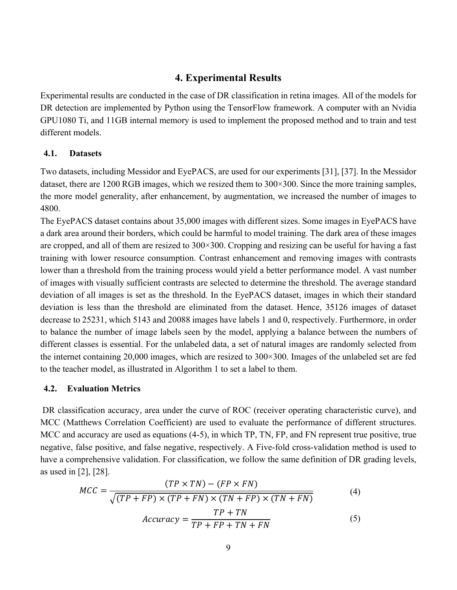# **4. Experimental Results**

Experimental results are conducted in the case of DR classification in retina images. All of the models for DR detection are implemented by Python using the TensorFlow framework. A computer with an Nvidia GPU1080 Ti, and 11GB internal memory is used to implement the proposed method and to train and test different models.

# **4.1. Datasets**

Two datasets, including Messidor and EyePACS, are used for our experiments [31], [37]. In the Messidor dataset, there are 1200 RGB images, which we resized them to 300×300. Since the more training samples, the more model generality, after enhancement, by augmentation, we increased the number of images to 4800.

The EyePACS dataset contains about 35,000 images with different sizes. Some images in EyePACS have a dark area around their borders, which could be harmful to model training. The dark area of these images are cropped, and all of them are resized to 300×300. Cropping and resizing can be useful for having a fast training with lower resource consumption. Contrast enhancement and removing images with contrasts lower than a threshold from the training process would yield a better performance model. A vast number of images with visually sufficient contrasts are selected to determine the threshold. The average standard deviation of all images is set as the threshold. In the EyePACS dataset, images in which their standard deviation is less than the threshold are eliminated from the dataset. Hence, 35126 images of dataset decrease to 25231, which 5143 and 20088 images have labels 1 and 0, respectively. Furthermore, in order to balance the number of image labels seen by the model, applying a balance between the numbers of different classes is essential. For the unlabeled data, a set of natural images are randomly selected from the internet containing 20,000 images, which are resized to 300×300. Images of the unlabeled set are fed to the teacher model, as illustrated in Algorithm 1 to set a label to them.

### **4.2. Evaluation Metrics**

 DR classification accuracy, area under the curve of ROC (receiver operating characteristic curve), and MCC (Matthews Correlation Coefficient) are used to evaluate the performance of different structures. MCC and accuracy are used as equations (4-5), in which TP, TN, FP, and FN represent true positive, true negative, false positive, and false negative, respectively. A Five-fold cross-validation method is used to have a comprehensive validation. For classification, we follow the same definition of DR grading levels, as used in [2], [28].

$$
MCC = \frac{(TP \times TN) - (FP \times FN)}{\sqrt{(TP + FP) \times (TP + FN) \times (TN + FP) \times (TN + FN)}}
$$
(4)  
Accuracy = 
$$
\frac{TP + TN}{TP + FP + TN + FN}
$$
(5)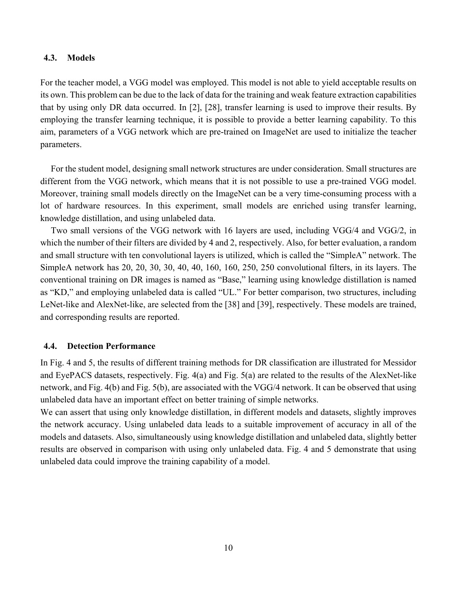### **4.3. Models**

For the teacher model, a VGG model was employed. This model is not able to yield acceptable results on its own. This problem can be due to the lack of data for the training and weak feature extraction capabilities that by using only DR data occurred. In [2], [28], transfer learning is used to improve their results. By employing the transfer learning technique, it is possible to provide a better learning capability. To this aim, parameters of a VGG network which are pre-trained on ImageNet are used to initialize the teacher parameters.

For the student model, designing small network structures are under consideration. Small structures are different from the VGG network, which means that it is not possible to use a pre-trained VGG model. Moreover, training small models directly on the ImageNet can be a very time-consuming process with a lot of hardware resources. In this experiment, small models are enriched using transfer learning, knowledge distillation, and using unlabeled data.

Two small versions of the VGG network with 16 layers are used, including VGG/4 and VGG/2, in which the number of their filters are divided by 4 and 2, respectively. Also, for better evaluation, a random and small structure with ten convolutional layers is utilized, which is called the "SimpleA" network. The SimpleA network has 20, 20, 30, 30, 40, 40, 160, 160, 250, 250 convolutional filters, in its layers. The conventional training on DR images is named as "Base," learning using knowledge distillation is named as "KD," and employing unlabeled data is called "UL." For better comparison, two structures, including LeNet-like and AlexNet-like, are selected from the [38] and [39], respectively. These models are trained, and corresponding results are reported.

### **4.4. Detection Performance**

In Fig. 4 and 5, the results of different training methods for DR classification are illustrated for Messidor and EyePACS datasets, respectively. Fig. 4(a) and Fig. 5(a) are related to the results of the AlexNet-like network, and Fig. 4(b) and Fig. 5(b), are associated with the VGG/4 network. It can be observed that using unlabeled data have an important effect on better training of simple networks.

We can assert that using only knowledge distillation, in different models and datasets, slightly improves the network accuracy. Using unlabeled data leads to a suitable improvement of accuracy in all of the models and datasets. Also, simultaneously using knowledge distillation and unlabeled data, slightly better results are observed in comparison with using only unlabeled data. Fig. 4 and 5 demonstrate that using unlabeled data could improve the training capability of a model.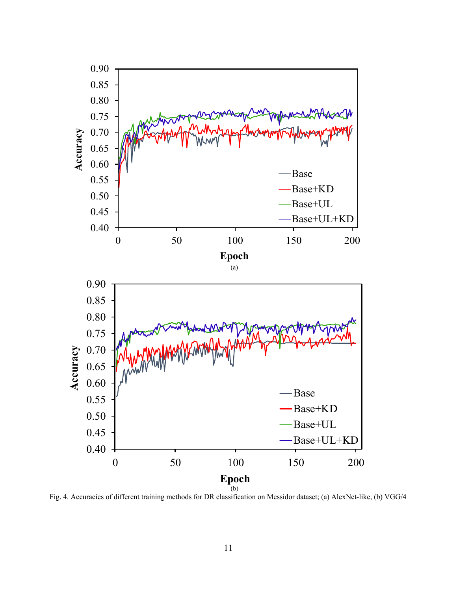

Fig. 4. Accuracies of different training methods for DR classification on Messidor dataset; (a) AlexNet-like, (b) VGG/4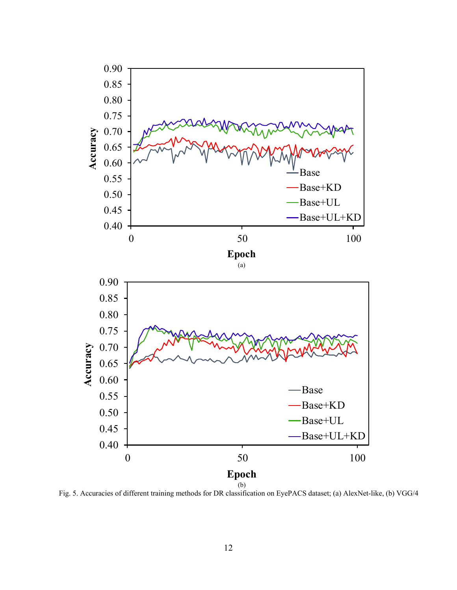

Fig. 5. Accuracies of different training methods for DR classification on EyePACS dataset; (a) AlexNet-like, (b) VGG/4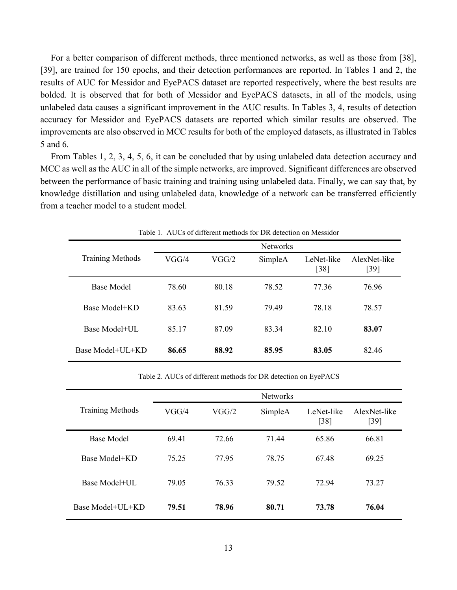For a better comparison of different methods, three mentioned networks, as well as those from [38], [39], are trained for 150 epochs, and their detection performances are reported. In Tables 1 and 2, the results of AUC for Messidor and EyePACS dataset are reported respectively, where the best results are bolded. It is observed that for both of Messidor and EyePACS datasets, in all of the models, using unlabeled data causes a significant improvement in the AUC results. In Tables 3, 4, results of detection accuracy for Messidor and EyePACS datasets are reported which similar results are observed. The improvements are also observed in MCC results for both of the employed datasets, as illustrated in Tables 5 and 6.

From Tables 1, 2, 3, 4, 5, 6, it can be concluded that by using unlabeled data detection accuracy and MCC as well as the AUC in all of the simple networks, are improved. Significant differences are observed between the performance of basic training and training using unlabeled data. Finally, we can say that, by knowledge distillation and using unlabeled data, knowledge of a network can be transferred efficiently from a teacher model to a student model.

|                         | <b>Networks</b> |       |         |                      |                        |  |  |
|-------------------------|-----------------|-------|---------|----------------------|------------------------|--|--|
| <b>Training Methods</b> | VGG/4           | VGG/2 | SimpleA | LeNet-like<br>$[38]$ | AlexNet-like<br>$[39]$ |  |  |
| Base Model              | 78.60           | 80.18 | 78.52   | 77.36                | 76.96                  |  |  |
| Base Model+KD           | 83.63           | 81.59 | 79.49   | 78.18                | 78.57                  |  |  |
| Base Model+UL           | 85.17           | 87.09 | 83.34   | 82.10                | 83.07                  |  |  |
| Base Model+UL+KD        | 86.65           | 88.92 | 85.95   | 83.05                | 82.46                  |  |  |

Table 1. AUCs of different methods for DR detection on Messidor

Table 2. AUCs of different methods for DR detection on EyePACS

|                         | <b>Networks</b> |       |         |                      |                        |  |
|-------------------------|-----------------|-------|---------|----------------------|------------------------|--|
| <b>Training Methods</b> | VGG/4           | VGG/2 | SimpleA | LeNet-like<br>$[38]$ | AlexNet-like<br>$[39]$ |  |
| <b>Base Model</b>       | 6941            | 72.66 | 71 44   | 65.86                | 66.81                  |  |
| Base Model+KD           | 75.25           | 77.95 | 78.75   | 67.48                | 69.25                  |  |
| Base Model+UL           | 79.05           | 76.33 | 79.52   | 72 94                | 73.27                  |  |
| Base Model+UL+KD        | 79.51           | 78.96 | 80.71   | 73.78                | 76.04                  |  |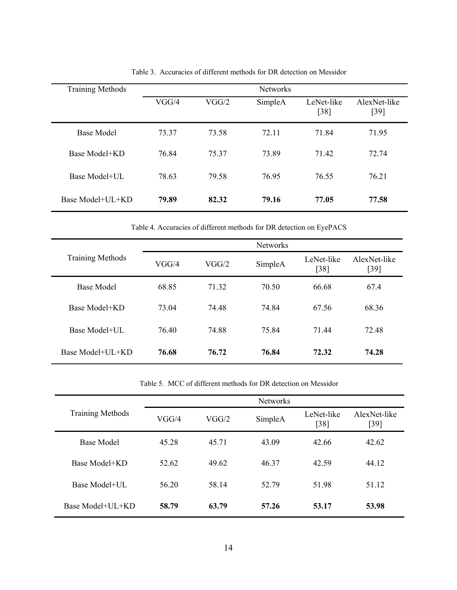| <b>Training Methods</b> |       |       |         |                      |                      |
|-------------------------|-------|-------|---------|----------------------|----------------------|
|                         | VGG/4 | VGG/2 | SimpleA | LeNet-like<br>$[38]$ | AlexNet-like<br>[39] |
| <b>Base Model</b>       | 73.37 | 73.58 | 72.11   | 71.84                | 71.95                |
| Base Model+KD           | 76.84 | 75 37 | 73.89   | 71.42                | 72.74                |
| Base Model+UL           | 78.63 | 79.58 | 76.95   | 76.55                | 76.21                |
| Base Model+UL+KD        | 79.89 | 82.32 | 79.16   | 77.05                | 77.58                |

Table 3. Accuracies of different methods for DR detection on Messidor

Table 4. Accuracies of different methods for DR detection on EyePACS

|                         | <b>Networks</b> |       |         |                      |                        |  |  |
|-------------------------|-----------------|-------|---------|----------------------|------------------------|--|--|
| <b>Training Methods</b> | VGG/4           | VGG/2 | SimpleA | LeNet-like<br>$[38]$ | AlexNet-like<br>$[39]$ |  |  |
| <b>Base Model</b>       | 68.85           | 71 32 | 70.50   | 66.68                | 67.4                   |  |  |
| Base Model+KD           | 73.04           | 74 48 | 74.84   | 67.56                | 68.36                  |  |  |
| Base Model+UL           | 76.40           | 74.88 | 75.84   | 7144                 | 72.48                  |  |  |
| Base Model+UL+KD        | 76.68           | 76.72 | 76.84   | 72.32                | 74.28                  |  |  |

Table 5. MCC of different methods for DR detection on Messidor

|                         | <b>Networks</b> |       |         |                    |                        |  |  |
|-------------------------|-----------------|-------|---------|--------------------|------------------------|--|--|
| <b>Training Methods</b> | VGG/4           | VGG/2 | SimpleA | LeNet-like<br>[38] | AlexNet-like<br>$[39]$ |  |  |
| <b>Base Model</b>       | 45.28           | 45.71 | 43.09   | 42.66              | 42.62                  |  |  |
| Base Model+KD           | 52.62           | 49.62 | 46.37   | 42.59              | 44.12                  |  |  |
| Base Model+UL           | 56 20           | 58.14 | 52.79   | 51.98              | 51.12                  |  |  |
| Base Model+UL+KD        | 58.79           | 63.79 | 57.26   | 53.17              | 53.98                  |  |  |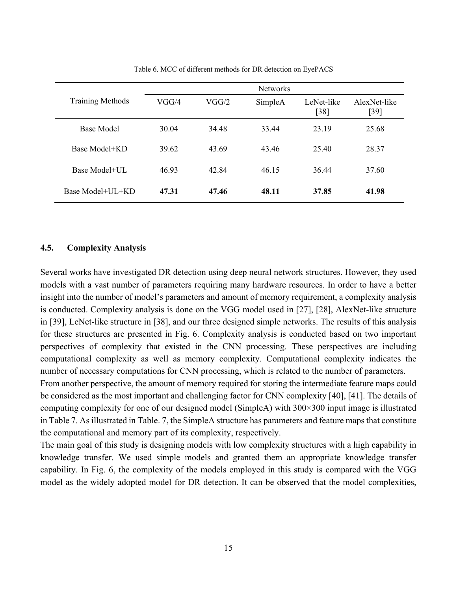|                         | <b>Networks</b> |       |         |                      |                        |  |  |
|-------------------------|-----------------|-------|---------|----------------------|------------------------|--|--|
| <b>Training Methods</b> | VGG/4           | VGG/2 | SimpleA | LeNet-like<br>$[38]$ | AlexNet-like<br>$[39]$ |  |  |
| <b>Base Model</b>       | 30.04           | 34.48 | 33.44   | 23.19                | 25.68                  |  |  |
| Base Model+KD           | 39.62           | 43.69 | 43.46   | 25.40                | 28.37                  |  |  |
| Base Model+UL           | 46.93           | 42.84 | 46.15   | 36.44                | 37.60                  |  |  |
| Base Model+UL+KD        | 47.31           | 47.46 | 48.11   | 37.85                | 41.98                  |  |  |

Table 6. MCC of different methods for DR detection on EyePACS

### **4.5. Complexity Analysis**

Several works have investigated DR detection using deep neural network structures. However, they used models with a vast number of parameters requiring many hardware resources. In order to have a better insight into the number of model's parameters and amount of memory requirement, a complexity analysis is conducted. Complexity analysis is done on the VGG model used in [27], [28], AlexNet-like structure in [39], LeNet-like structure in [38], and our three designed simple networks. The results of this analysis for these structures are presented in Fig. 6. Complexity analysis is conducted based on two important perspectives of complexity that existed in the CNN processing. These perspectives are including computational complexity as well as memory complexity. Computational complexity indicates the number of necessary computations for CNN processing, which is related to the number of parameters.

From another perspective, the amount of memory required for storing the intermediate feature maps could be considered as the most important and challenging factor for CNN complexity [40], [41]. The details of computing complexity for one of our designed model (SimpleA) with 300×300 input image is illustrated in Table 7. As illustrated in Table. 7, the SimpleA structure has parameters and feature maps that constitute the computational and memory part of its complexity, respectively.

The main goal of this study is designing models with low complexity structures with a high capability in knowledge transfer. We used simple models and granted them an appropriate knowledge transfer capability. In Fig. 6, the complexity of the models employed in this study is compared with the VGG model as the widely adopted model for DR detection. It can be observed that the model complexities,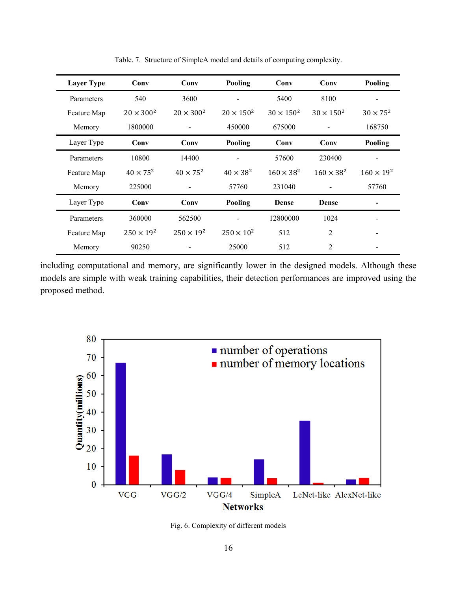| <b>Layer Type</b> | Conv                | Conv                | Pooling             | Conv                | Conv                | Pooling             |
|-------------------|---------------------|---------------------|---------------------|---------------------|---------------------|---------------------|
| Parameters        | 540                 | 3600                |                     | 5400                | 8100                |                     |
| Feature Map       | $20 \times 300^2$   | $20 \times 300^2$   | $20 \times 150^{2}$ | $30 \times 150^{2}$ | $30 \times 150^{2}$ | $30 \times 75^2$    |
| Memory            | 1800000             |                     | 450000              | 675000              |                     | 168750              |
| Layer Type        | Conv                | Conv                | Pooling             | Conv                | Conv                | Pooling             |
| Parameters        | 10800               | 14400               |                     | 57600               | 230400              |                     |
| Feature Map       | $40 \times 75^2$    | $40 \times 75^{2}$  | $40 \times 38^2$    | $160 \times 38^{2}$ | $160 \times 38^{2}$ | $160 \times 19^{2}$ |
| Memory            | 225000              |                     | 57760               | 231040              |                     | 57760               |
| Layer Type        | Conv                | Conv                | Pooling             | <b>Dense</b>        | Dense               |                     |
| Parameters        | 360000              | 562500              |                     | 12800000            | 1024                |                     |
| Feature Map       | $250 \times 19^{2}$ | $250 \times 19^{2}$ | $250 \times 10^2$   | 512                 | 2                   |                     |
| Memory            | 90250               |                     | 25000               | 512                 | 2                   |                     |

Table. 7. Structure of SimpleA model and details of computing complexity.

including computational and memory, are significantly lower in the designed models. Although these models are simple with weak training capabilities, their detection performances are improved using the proposed method.



Fig. 6. Complexity of different models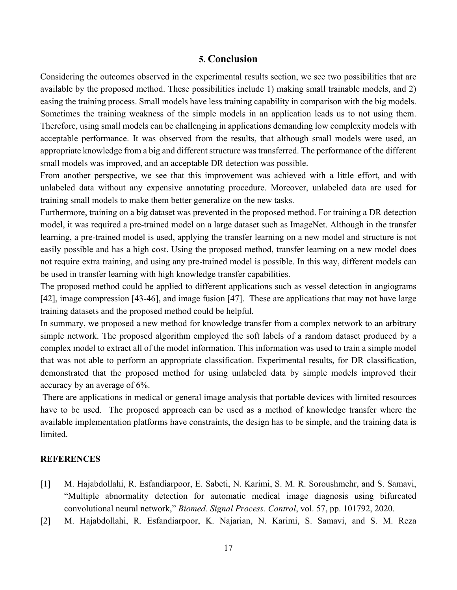# **5. Conclusion**

Considering the outcomes observed in the experimental results section, we see two possibilities that are available by the proposed method. These possibilities include 1) making small trainable models, and 2) easing the training process. Small models have less training capability in comparison with the big models. Sometimes the training weakness of the simple models in an application leads us to not using them. Therefore, using small models can be challenging in applications demanding low complexity models with acceptable performance. It was observed from the results, that although small models were used, an appropriate knowledge from a big and different structure was transferred. The performance of the different small models was improved, and an acceptable DR detection was possible.

From another perspective, we see that this improvement was achieved with a little effort, and with unlabeled data without any expensive annotating procedure. Moreover, unlabeled data are used for training small models to make them better generalize on the new tasks.

Furthermore, training on a big dataset was prevented in the proposed method. For training a DR detection model, it was required a pre-trained model on a large dataset such as ImageNet. Although in the transfer learning, a pre-trained model is used, applying the transfer learning on a new model and structure is not easily possible and has a high cost. Using the proposed method, transfer learning on a new model does not require extra training, and using any pre-trained model is possible. In this way, different models can be used in transfer learning with high knowledge transfer capabilities.

The proposed method could be applied to different applications such as vessel detection in angiograms [42], image compression [43-46], and image fusion [47]. These are applications that may not have large training datasets and the proposed method could be helpful.

In summary, we proposed a new method for knowledge transfer from a complex network to an arbitrary simple network. The proposed algorithm employed the soft labels of a random dataset produced by a complex model to extract all of the model information. This information was used to train a simple model that was not able to perform an appropriate classification. Experimental results, for DR classification, demonstrated that the proposed method for using unlabeled data by simple models improved their accuracy by an average of 6%.

 There are applications in medical or general image analysis that portable devices with limited resources have to be used. The proposed approach can be used as a method of knowledge transfer where the available implementation platforms have constraints, the design has to be simple, and the training data is limited.

# **REFERENCES**

- [1] M. Hajabdollahi, R. Esfandiarpoor, E. Sabeti, N. Karimi, S. M. R. Soroushmehr, and S. Samavi, "Multiple abnormality detection for automatic medical image diagnosis using bifurcated convolutional neural network," *Biomed. Signal Process. Control*, vol. 57, pp. 101792, 2020.
- [2] M. Hajabdollahi, R. Esfandiarpoor, K. Najarian, N. Karimi, S. Samavi, and S. M. Reza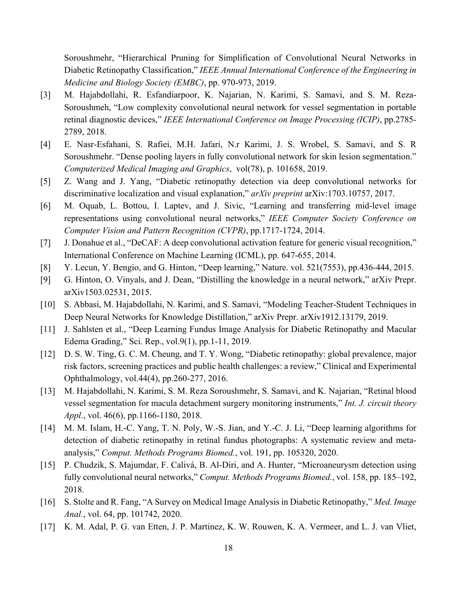Soroushmehr, "Hierarchical Pruning for Simplification of Convolutional Neural Networks in Diabetic Retinopathy Classification," *IEEE Annual International Conference of the Engineering in Medicine and Biology Society (EMBC)*, pp. 970-973, 2019.

- [3] M. Hajabdollahi, R. Esfandiarpoor, K. Najarian, N. Karimi, S. Samavi, and S. M. Reza-Soroushmeh, "Low complexity convolutional neural network for vessel segmentation in portable retinal diagnostic devices," *IEEE International Conference on Image Processing (ICIP)*, pp.2785- 2789, 2018.
- [4] E. Nasr-Esfahani, S. Rafiei, M.H. Jafari, N.r Karimi, J. S. Wrobel, S. Samavi, and S. R Soroushmehr. "Dense pooling layers in fully convolutional network for skin lesion segmentation." *Computerized Medical Imaging and Graphics*, vol(78), p. 101658, 2019.
- [5] Z. Wang and J. Yang, "Diabetic retinopathy detection via deep convolutional networks for discriminative localization and visual explanation," *arXiv preprint* arXiv:1703.10757, 2017.
- [6] M. Oquab, L. Bottou, I. Laptev, and J. Sivic, "Learning and transferring mid-level image representations using convolutional neural networks," *IEEE Computer Society Conference on Computer Vision and Pattern Recognition (CVPR)*, pp.1717-1724, 2014.
- [7] J. Donahue et al., "DeCAF: A deep convolutional activation feature for generic visual recognition," International Conference on Machine Learning (ICML), pp. 647-655, 2014.
- [8] Y. Lecun, Y. Bengio, and G. Hinton, "Deep learning," Nature. vol. 521(7553), pp.436-444, 2015.
- [9] G. Hinton, O. Vinyals, and J. Dean, "Distilling the knowledge in a neural network," arXiv Prepr. arXiv1503.02531, 2015.
- [10] S. Abbasi, M. Hajabdollahi, N. Karimi, and S. Samavi, "Modeling Teacher-Student Techniques in Deep Neural Networks for Knowledge Distillation," arXiv Prepr. arXiv1912.13179, 2019.
- [11] J. Sahlsten et al., "Deep Learning Fundus Image Analysis for Diabetic Retinopathy and Macular Edema Grading," Sci. Rep., vol.9(1), pp.1-11, 2019.
- [12] D. S. W. Ting, G. C. M. Cheung, and T. Y. Wong, "Diabetic retinopathy: global prevalence, major risk factors, screening practices and public health challenges: a review," Clinical and Experimental Ophthalmology, vol.44(4), pp.260-277, 2016.
- [13] M. Hajabdollahi, N. Karimi, S. M. Reza Soroushmehr, S. Samavi, and K. Najarian, "Retinal blood vessel segmentation for macula detachment surgery monitoring instruments," *Int. J. circuit theory Appl.*, vol. 46(6), pp.1166-1180, 2018.
- [14] M. M. Islam, H.-C. Yang, T. N. Poly, W.-S. Jian, and Y.-C. J. Li, "Deep learning algorithms for detection of diabetic retinopathy in retinal fundus photographs: A systematic review and metaanalysis," *Comput. Methods Programs Biomed.*, vol. 191, pp. 105320, 2020.
- [15] P. Chudzik, S. Majumdar, F. Calivá, B. Al-Diri, and A. Hunter, "Microaneurysm detection using fully convolutional neural networks," *Comput. Methods Programs Biomed.*, vol. 158, pp. 185–192, 2018.
- [16] S. Stolte and R. Fang, "A Survey on Medical Image Analysis in Diabetic Retinopathy," *Med. Image Anal.*, vol. 64, pp. 101742, 2020.
- [17] K. M. Adal, P. G. van Etten, J. P. Martinez, K. W. Rouwen, K. A. Vermeer, and L. J. van Vliet,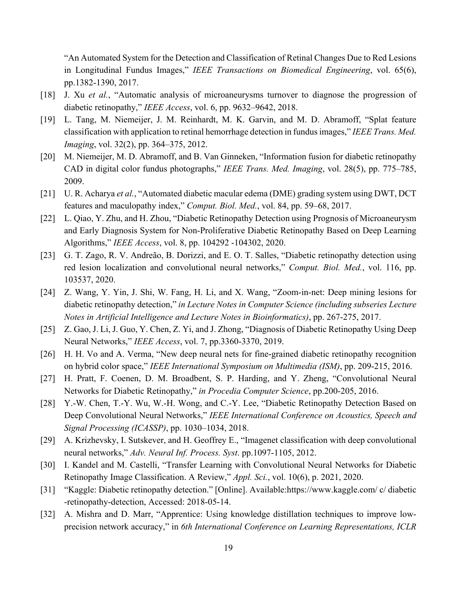"An Automated System for the Detection and Classification of Retinal Changes Due to Red Lesions in Longitudinal Fundus Images," *IEEE Transactions on Biomedical Engineering*, vol. 65(6), pp.1382-1390, 2017.

- [18] J. Xu *et al.*, "Automatic analysis of microaneurysms turnover to diagnose the progression of diabetic retinopathy," *IEEE Access*, vol. 6, pp. 9632–9642, 2018.
- [19] L. Tang, M. Niemeijer, J. M. Reinhardt, M. K. Garvin, and M. D. Abramoff, "Splat feature classification with application to retinal hemorrhage detection in fundus images," *IEEE Trans. Med. Imaging*, vol. 32(2), pp. 364–375, 2012.
- [20] M. Niemeijer, M. D. Abramoff, and B. Van Ginneken, "Information fusion for diabetic retinopathy CAD in digital color fundus photographs," *IEEE Trans. Med. Imaging*, vol. 28(5), pp. 775–785, 2009.
- [21] U. R. Acharya *et al.*, "Automated diabetic macular edema (DME) grading system using DWT, DCT features and maculopathy index," *Comput. Biol. Med.*, vol. 84, pp. 59–68, 2017.
- [22] L. Qiao, Y. Zhu, and H. Zhou, "Diabetic Retinopathy Detection using Prognosis of Microaneurysm and Early Diagnosis System for Non-Proliferative Diabetic Retinopathy Based on Deep Learning Algorithms," *IEEE Access*, vol. 8, pp. 104292 -104302, 2020.
- [23] G. T. Zago, R. V. Andreão, B. Dorizzi, and E. O. T. Salles, "Diabetic retinopathy detection using red lesion localization and convolutional neural networks," *Comput. Biol. Med.*, vol. 116, pp. 103537, 2020.
- [24] Z. Wang, Y. Yin, J. Shi, W. Fang, H. Li, and X. Wang, "Zoom-in-net: Deep mining lesions for diabetic retinopathy detection," *in Lecture Notes in Computer Science (including subseries Lecture Notes in Artificial Intelligence and Lecture Notes in Bioinformatics)*, pp. 267-275, 2017.
- [25] Z. Gao, J. Li, J. Guo, Y. Chen, Z. Yi, and J. Zhong, "Diagnosis of Diabetic Retinopathy Using Deep Neural Networks," *IEEE Access*, vol. 7, pp.3360-3370, 2019.
- [26] H. H. Vo and A. Verma, "New deep neural nets for fine-grained diabetic retinopathy recognition on hybrid color space," *IEEE International Symposium on Multimedia (ISM)*, pp. 209-215, 2016.
- [27] H. Pratt, F. Coenen, D. M. Broadbent, S. P. Harding, and Y. Zheng, "Convolutional Neural Networks for Diabetic Retinopathy," *in Procedia Computer Science*, pp.200-205, 2016.
- [28] Y.-W. Chen, T.-Y. Wu, W.-H. Wong, and C.-Y. Lee, "Diabetic Retinopathy Detection Based on Deep Convolutional Neural Networks," *IEEE International Conference on Acoustics, Speech and Signal Processing (ICASSP)*, pp. 1030–1034, 2018.
- [29] A. Krizhevsky, I. Sutskever, and H. Geoffrey E., "Imagenet classification with deep convolutional neural networks," *Adv. Neural Inf. Process. Syst*. pp.1097-1105, 2012.
- [30] I. Kandel and M. Castelli, "Transfer Learning with Convolutional Neural Networks for Diabetic Retinopathy Image Classification. A Review," *Appl. Sci.*, vol. 10(6), p. 2021, 2020.
- [31] "Kaggle: Diabetic retinopathy detection." [Online]. Available:https://www.kaggle.com/ c/ diabetic -retinopathy-detection, Accessed: 2018-05-14.
- [32] A. Mishra and D. Marr, "Apprentice: Using knowledge distillation techniques to improve lowprecision network accuracy," in *6th International Conference on Learning Representations, ICLR*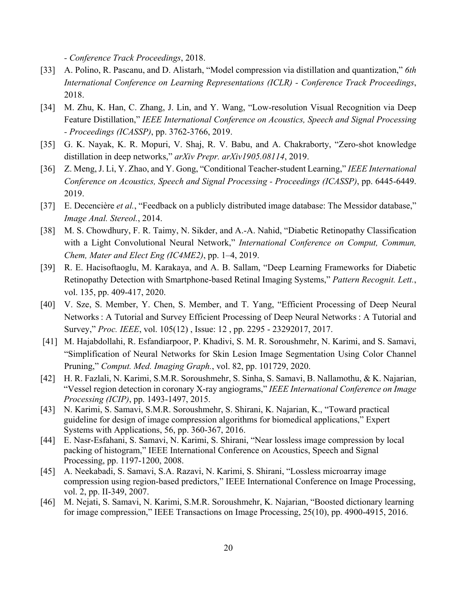*- Conference Track Proceedings*, 2018.

- [33] A. Polino, R. Pascanu, and D. Alistarh, "Model compression via distillation and quantization," *6th International Conference on Learning Representations (ICLR) - Conference Track Proceedings*, 2018.
- [34] M. Zhu, K. Han, C. Zhang, J. Lin, and Y. Wang, "Low-resolution Visual Recognition via Deep Feature Distillation," *IEEE International Conference on Acoustics, Speech and Signal Processing - Proceedings (ICASSP)*, pp. 3762-3766, 2019.
- [35] G. K. Nayak, K. R. Mopuri, V. Shaj, R. V. Babu, and A. Chakraborty, "Zero-shot knowledge distillation in deep networks," *arXiv Prepr. arXiv1905.08114*, 2019.
- [36] Z. Meng, J. Li, Y. Zhao, and Y. Gong, "Conditional Teacher-student Learning," *IEEE International Conference on Acoustics, Speech and Signal Processing - Proceedings (ICASSP)*, pp. 6445-6449. 2019.
- [37] E. Decencière *et al.*, "Feedback on a publicly distributed image database: The Messidor database," *Image Anal. Stereol.*, 2014.
- [38] M. S. Chowdhury, F. R. Taimy, N. Sikder, and A.-A. Nahid, "Diabetic Retinopathy Classification with a Light Convolutional Neural Network," *International Conference on Comput, Commun, Chem, Mater and Elect Eng (IC4ME2)*, pp. 1–4, 2019.
- [39] R. E. Hacisoftaoglu, M. Karakaya, and A. B. Sallam, "Deep Learning Frameworks for Diabetic Retinopathy Detection with Smartphone-based Retinal Imaging Systems," *Pattern Recognit. Lett.*, vol. 135, pp. 409-417, 2020.
- [40] V. Sze, S. Member, Y. Chen, S. Member, and T. Yang, "Efficient Processing of Deep Neural Networks : A Tutorial and Survey Efficient Processing of Deep Neural Networks : A Tutorial and Survey," *Proc. IEEE*, vol. 105(12) , Issue: 12 , pp. 2295 - 23292017, 2017.
- [41] M. Hajabdollahi, R. Esfandiarpoor, P. Khadivi, S. M. R. Soroushmehr, N. Karimi, and S. Samavi, "Simplification of Neural Networks for Skin Lesion Image Segmentation Using Color Channel Pruning," *Comput. Med. Imaging Graph.*, vol. 82, pp. 101729, 2020.
- [42] H. R. Fazlali, N. Karimi, S.M.R. Soroushmehr, S. Sinha, S. Samavi, B. Nallamothu, & K. Najarian, "Vessel region detection in coronary X-ray angiograms," *IEEE International Conference on Image Processing (ICIP)*, pp. 1493-1497, 2015.
- [43] N. Karimi, S. Samavi, S.M.R. Soroushmehr, S. Shirani, K. Najarian, K., "Toward practical guideline for design of image compression algorithms for biomedical applications," Expert Systems with Applications, 56, pp. 360-367, 2016.
- [44] E. Nasr-Esfahani, S. Samavi, N. Karimi, S. Shirani, "Near lossless image compression by local packing of histogram," IEEE International Conference on Acoustics, Speech and Signal Processing, pp. 1197-1200, 2008.
- [45] A. Neekabadi, S. Samavi, S.A. Razavi, N. Karimi, S. Shirani, "Lossless microarray image compression using region-based predictors," IEEE International Conference on Image Processing, vol. 2, pp. II-349, 2007.
- [46] M. Nejati, S. Samavi, N. Karimi, S.M.R. Soroushmehr, K. Najarian, "Boosted dictionary learning for image compression," IEEE Transactions on Image Processing, 25(10), pp. 4900-4915, 2016.